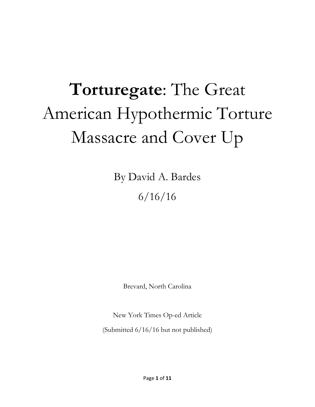# **Torturegate**: The Great American Hypothermic Torture Massacre and Cover Up

By David A. Bardes 6/16/16

Brevard, North Carolina

New York Times Op-ed Article (Submitted 6/16/16 but not published)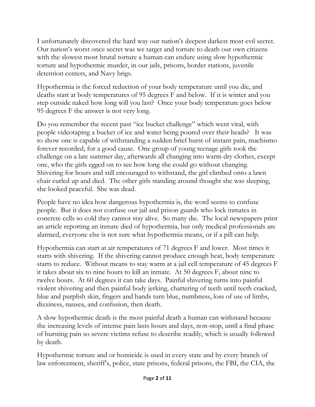I unfortunately discovered the hard way our nation's deepest darkest most evil secret. Our nation's worst once secret was we target and torture to death our own citizens with the slowest most brutal torture a human can endure using slow hypothermic torture and hypothermic murder, in our jails, prisons, border stations, juvenile detention centers, and Navy brigs.

Hypothermia is the forced reduction of your body temperature until you die, and deaths start at body temperatures of 95 degrees F and below. If it is winter and you step outside naked how long will you last? Once your body temperature goes below 95 degrees F the answer is not very long.

Do you remember the recent past "ice bucket challenge" which went viral, with people videotaping a bucket of ice and water being poured over their heads? It was to show one is capable of withstanding a sudden brief burst of instant pain, machismo forever recorded, for a good cause. One group of young teenage girls took the challenge on a late summer day, afterwards all changing into warm dry clothes, except one, who the girls egged on to see how long she could go without changing. Shivering for hours and still encouraged to withstand, the girl climbed onto a lawn chair curled up and died. The other girls standing around thought she was sleeping, she looked peaceful. She was dead.

People have no idea how dangerous hypothermia is, the word seems to confuse people. But it does not confuse our jail and prison guards who lock inmates in concrete cells so cold they cannot stay alive. So many die. The local newspapers print an article reporting an inmate died of hypothermia, but only medical professionals are alarmed, everyone else is not sure what hypothermia means, or if a pill can help.

Hypothermia can start at air temperatures of 71 degrees F and lower. Most times it starts with shivering. If the shivering cannot produce enough heat, body temperature starts to reduce. Without means to stay warm at a jail cell temperature of 45 degrees F it takes about six to nine hours to kill an inmate. At 50 degrees F, about nine to twelve hours. At 60 degrees it can take days. Painful shivering turns into painful violent shivering and then painful body jerking, chattering of teeth until teeth cracked, blue and purplish skin, fingers and hands turn blue, numbness, loss of use of limbs, dizziness, nausea, and confusion, then death.

A slow hypothermic death is the most painful death a human can withstand because the increasing levels of intense pain lasts hours and days, non-stop, until a final phase of bursting pain so severe victims refuse to describe readily, which is usually followed by death.

Hypothermic torture and or homicide is used in every state and by every branch of law enforcement, sheriff's, police, state prisons, federal prisons, the FBI, the CIA, the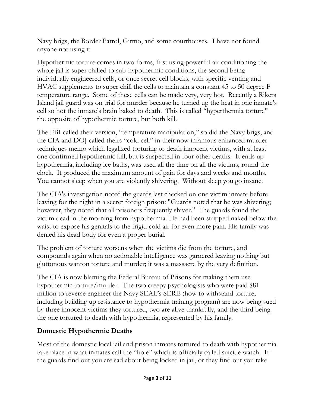Navy brigs, the Border Patrol, Gitmo, and some courthouses. I have not found anyone not using it.

Hypothermic torture comes in two forms, first using powerful air conditioning the whole jail is super chilled to sub-hypothermic conditions, the second being individually engineered cells, or once secret cell blocks, with specific venting and HVAC supplements to super chill the cells to maintain a constant 45 to 50 degree F temperature range. Some of these cells can be made very, very hot. Recently a Rikers Island jail guard was on trial for murder because he turned up the heat in one inmate's cell so hot the inmate's brain baked to death. This is called "hyperthermia torture" the opposite of hypothermic torture, but both kill.

The FBI called their version, "temperature manipulation," so did the Navy brigs, and the CIA and DOJ called theirs "cold cell" in their now infamous enhanced murder techniques memo which legalized torturing to death innocent victims, with at least one confirmed hypothermic kill, but is suspected in four other deaths. It ends up hypothermia, including ice baths, was used all the time on all the victims, round the clock. It produced the maximum amount of pain for days and weeks and months. You cannot sleep when you are violently shivering. Without sleep you go insane.

The CIA's investigation noted the guards last checked on one victim inmate before leaving for the night in a secret foreign prison: "Guards noted that he was shivering; however, they noted that all prisoners frequently shiver." The guards found the victim dead in the morning from hypothermia. He had been stripped naked below the waist to expose his genitals to the frigid cold air for even more pain. His family was denied his dead body for even a proper burial.

The problem of torture worsens when the victims die from the torture, and compounds again when no actionable intelligence was garnered leaving nothing but gluttonous wanton torture and murder; it was a massacre by the very definition.

The CIA is now blaming the Federal Bureau of Prisons for making them use hypothermic torture/murder. The two creepy psychologists who were paid \$81 million to reverse engineer the Navy SEAL's SERE (how to withstand torture, including building up resistance to hypothermia training program) are now being sued by three innocent victims they tortured, two are alive thankfully, and the third being the one tortured to death with hypothermia, represented by his family.

#### **Domestic Hypothermic Deaths**

Most of the domestic local jail and prison inmates tortured to death with hypothermia take place in what inmates call the "hole" which is officially called suicide watch. If the guards find out you are sad about being locked in jail, or they find out you take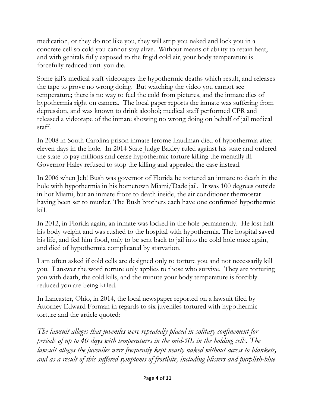medication, or they do not like you, they will strip you naked and lock you in a concrete cell so cold you cannot stay alive. Without means of ability to retain heat, and with genitals fully exposed to the frigid cold air, your body temperature is forcefully reduced until you die.

Some jail's medical staff videotapes the hypothermic deaths which result, and releases the tape to prove no wrong doing. But watching the video you cannot see temperature; there is no way to feel the cold from pictures, and the inmate dies of hypothermia right on camera. The local paper reports the inmate was suffering from depression, and was known to drink alcohol; medical staff performed CPR and released a videotape of the inmate showing no wrong doing on behalf of jail medical staff.

In 2008 in South Carolina prison inmate Jerome Laudman died of hypothermia after eleven days in the hole. In 2014 State Judge Baxley ruled against his state and ordered the state to pay millions and cease hypothermic torture killing the mentally ill. Governor Haley refused to stop the killing and appealed the case instead.

In 2006 when Jeb! Bush was governor of Florida he tortured an inmate to death in the hole with hypothermia in his hometown Miami/Dade jail. It was 100 degrees outside in hot Miami, but an inmate froze to death inside, the air conditioner thermostat having been set to murder. The Bush brothers each have one confirmed hypothermic kill.

In 2012, in Florida again, an inmate was locked in the hole permanently. He lost half his body weight and was rushed to the hospital with hypothermia. The hospital saved his life, and fed him food, only to be sent back to jail into the cold hole once again, and died of hypothermia complicated by starvation.

I am often asked if cold cells are designed only to torture you and not necessarily kill you. I answer the word torture only applies to those who survive. They are torturing you with death, the cold kills, and the minute your body temperature is forcibly reduced you are being killed.

In Lancaster, Ohio, in 2014, the local newspaper reported on a lawsuit filed by Attorney Edward Forman in regards to six juveniles tortured with hypothermic torture and the article quoted:

*The lawsuit alleges that juveniles were repeatedly placed in solitary confinement for periods of up to 40 days with temperatures in the mid-50s in the holding cells. The lawsuit alleges the juveniles were frequently kept nearly naked without access to blankets, and as a result of this suffered symptoms of frostbite, including blisters and purplish-blue*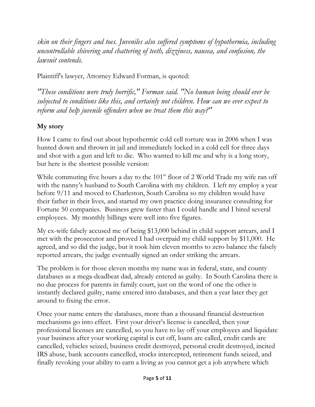*skin on their fingers and toes. Juveniles also suffered symptoms of hypothermia, including uncontrollable shivering and chattering of teeth, dizziness, nausea, and confusion, the lawsuit contends.* 

Plaintiff's lawyer, Attorney Edward Forman, is quoted:

*"These conditions were truly horrific," Forman said. "No human being should ever be subjected to conditions like this, and certainly not children. How can we ever expect to reform and help juvenile offenders when we treat them this way?"*

## **My story**

How I came to find out about hypothermic cold cell torture was in 2006 when I was hunted down and thrown in jail and immediately locked in a cold cell for three days and shot with a gun and left to die. Who wanted to kill me and why is a long story, but here is the shortest possible version:

While commuting five hours a day to the 101<sup>st</sup> floor of 2 World Trade my wife ran off with the nanny's husband to South Carolina with my children. I left my employ a year before 9/11 and moved to Charleston, South Carolina so my children would have their father in their lives, and started my own practice doing insurance consulting for Fortune 50 companies. Business grew faster than I could handle and I hired several employees. My monthly billings were well into five figures.

My ex-wife falsely accused me of being \$13,000 behind in child support arrears, and I met with the prosecutor and proved I had overpaid my child support by \$11,000. He agreed, and so did the judge, but it took him eleven months to zero balance the falsely reported arrears, the judge eventually signed an order striking the arrears.

The problem is for those eleven months my name was in federal, state, and county databases as a mega-deadbeat dad, already entered as guilty. In South Carolina there is no due process for parents in family court, just on the word of one the other is instantly declared guilty, name entered into databases, and then a year later they get around to fixing the error.

Once your name enters the databases, more than a thousand financial destruction mechanisms go into effect. First your driver's license is cancelled, then your professional licenses are cancelled, so you have to lay off your employees and liquidate your business after your working capital is cut off, loans are called, credit cards are cancelled, vehicles seized, business credit destroyed, personal credit destroyed, incited IRS abuse, bank accounts cancelled, stocks intercepted, retirement funds seized, and finally revoking your ability to earn a living as you cannot get a job anywhere which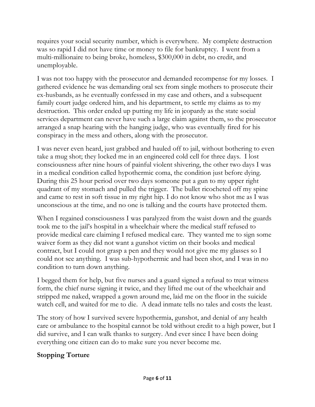requires your social security number, which is everywhere. My complete destruction was so rapid I did not have time or money to file for bankruptcy. I went from a multi-millionaire to being broke, homeless, \$300,000 in debt, no credit, and unemployable.

I was not too happy with the prosecutor and demanded recompense for my losses. I gathered evidence he was demanding oral sex from single mothers to prosecute their ex-husbands, as he eventually confessed in my case and others, and a subsequent family court judge ordered him, and his department, to settle my claims as to my destruction. This order ended up putting my life in jeopardy as the state social services department can never have such a large claim against them, so the prosecutor arranged a snap hearing with the hanging judge, who was eventually fired for his conspiracy in the mess and others, along with the prosecutor.

I was never even heard, just grabbed and hauled off to jail, without bothering to even take a mug shot; they locked me in an engineered cold cell for three days. I lost consciousness after nine hours of painful violent shivering, the other two days I was in a medical condition called hypothermic coma, the condition just before dying. During this 25 hour period over two days someone put a gun to my upper right quadrant of my stomach and pulled the trigger. The bullet ricocheted off my spine and came to rest in soft tissue in my right hip. I do not know who shot me as I was unconscious at the time, and no one is talking and the courts have protected them.

When I regained consciousness I was paralyzed from the waist down and the guards took me to the jail's hospital in a wheelchair where the medical staff refused to provide medical care claiming I refused medical care. They wanted me to sign some waiver form as they did not want a gunshot victim on their books and medical contract, but I could not grasp a pen and they would not give me my glasses so I could not see anything. I was sub-hypothermic and had been shot, and I was in no condition to turn down anything.

I begged them for help, but five nurses and a guard signed a refusal to treat witness form, the chief nurse signing it twice, and they lifted me out of the wheelchair and stripped me naked, wrapped a gown around me, laid me on the floor in the suicide watch cell, and waited for me to die. A dead inmate tells no tales and costs the least.

The story of how I survived severe hypothermia, gunshot, and denial of any health care or ambulance to the hospital cannot be told without credit to a high power, but I did survive, and I can walk thanks to surgery. And ever since I have been doing everything one citizen can do to make sure you never become me.

### **Stopping Torture**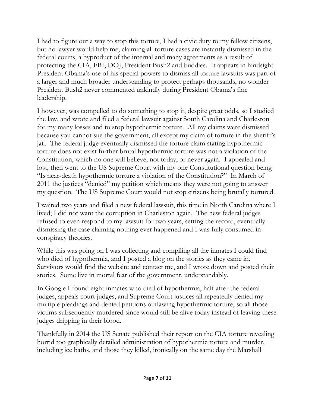I had to figure out a way to stop this torture, I had a civic duty to my fellow citizens, but no lawyer would help me, claiming all torture cases are instantly dismissed in the federal courts, a byproduct of the internal and many agreements as a result of protecting the CIA, FBI, DOJ, President Bush2 and buddies. It appears in hindsight President Obama's use of his special powers to dismiss all torture lawsuits was part of a larger and much broader understanding to protect perhaps thousands, no wonder President Bush2 never commented unkindly during President Obama's fine leadership.

I however, was compelled to do something to stop it, despite great odds, so I studied the law, and wrote and filed a federal lawsuit against South Carolina and Charleston for my many losses and to stop hypothermic torture. All my claims were dismissed because you cannot sue the government, all except my claim of torture in the sheriff's jail. The federal judge eventually dismissed the torture claim stating hypothermic torture does not exist further brutal hypothermic torture was not a violation of the Constitution, which no one will believe, not today, or never again. I appealed and lost, then went to the US Supreme Court with my one Constitutional question being "Is near-death hypothermic torture a violation of the Constitution?" In March of 2011 the justices "denied" my petition which means they were not going to answer my question. The US Supreme Court would not stop citizens being brutally tortured.

I waited two years and filed a new federal lawsuit, this time in North Carolina where I lived; I did not want the corruption in Charleston again. The new federal judges refused to even respond to my lawsuit for two years, setting the record, eventually dismissing the case claiming nothing ever happened and I was fully consumed in conspiracy theories.

While this was going on I was collecting and compiling all the inmates I could find who died of hypothermia, and I posted a blog on the stories as they came in. Survivors would find the website and contact me, and I wrote down and posted their stories. Some live in mortal fear of the government, understandably.

In Google I found eight inmates who died of hypothermia, half after the federal judges, appeals court judges, and Supreme Court justices all repeatedly denied my multiple pleadings and denied petitions outlawing hypothermic torture, so all those victims subsequently murdered since would still be alive today instead of leaving these judges dripping in their blood.

Thankfully in 2014 the US Senate published their report on the CIA torture revealing horrid too graphically detailed administration of hypothermic torture and murder, including ice baths, and those they killed, ironically on the same day the Marshall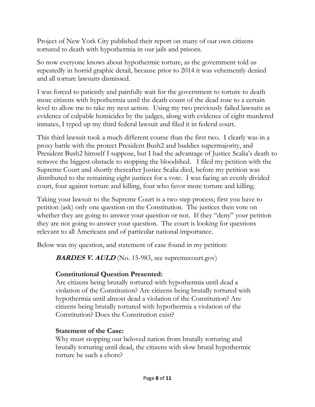Project of New York City published their report on many of our own citizens tortured to death with hypothermia in our jails and prisons.

So now everyone knows about hypothermic torture, as the government told us repeatedly in horrid graphic detail, because prior to 2014 it was vehemently denied and all torture lawsuits dismissed.

I was forced to patiently and painfully wait for the government to torture to death more citizens with hypothermia until the death count of the dead rose to a certain level to allow me to take my next action. Using my two previously failed lawsuits as evidence of culpable homicides by the judges, along with evidence of eight murdered inmates, I typed up my third federal lawsuit and filed it in federal court.

This third lawsuit took a much different course than the first two. I clearly was in a proxy battle with the protect President Bush2 and buddies supermajority, and President Bush2 himself I suppose, but I had the advantage of Justice Scalia's death to remove the biggest obstacle to stopping the bloodshed. I filed my petition with the Supreme Court and shortly thereafter Justice Scalia died, before my petition was distributed to the remaining eight justices for a vote. I was facing an evenly divided court, four against torture and killing, four who favor more torture and killing.

Taking your lawsuit to the Supreme Court is a two step process; first you have to petition (ask) only one question on the Constitution. The justices then vote on whether they are going to answer your question or not. If they "deny" your petition they are not going to answer your question. The court is looking for questions relevant to all Americans and of particular national importance.

Below was my question, and statement of case found in my petition:

**BARDES V. AULD** (No. 15-983, see supremecourt.gov)

### **Constitutional Question Presented:**

Are citizens being brutally tortured with hypothermia until dead a violation of the Constitution? Are citizens being brutally tortured with hypothermia until almost dead a violation of the Constitution? Are citizens being brutally tortured with hypothermia a violation of the Constitution? Does the Constitution exist?

### **Statement of the Case:**

Why must stopping our beloved nation from brutally torturing and brutally torturing until dead, the citizens with slow brutal hypothermic torture be such a chore?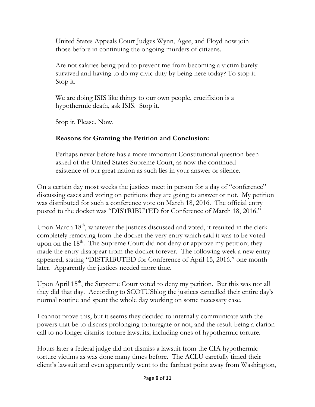United States Appeals Court Judges Wynn, Agee, and Floyd now join those before in continuing the ongoing murders of citizens.

Are not salaries being paid to prevent me from becoming a victim barely survived and having to do my civic duty by being here today? To stop it. Stop it.

We are doing ISIS like things to our own people, crucifixion is a hypothermic death, ask ISIS. Stop it.

Stop it. Please. Now.

### **Reasons for Granting the Petition and Conclusion:**

Perhaps never before has a more important Constitutional question been asked of the United States Supreme Court, as now the continued existence of our great nation as such lies in your answer or silence.

On a certain day most weeks the justices meet in person for a day of "conference" discussing cases and voting on petitions they are going to answer or not. My petition was distributed for such a conference vote on March 18, 2016. The official entry posted to the docket was "DISTRIBUTED for Conference of March 18, 2016."

Upon March  $18<sup>th</sup>$ , whatever the justices discussed and voted, it resulted in the clerk completely removing from the docket the very entry which said it was to be voted upon on the 18<sup>th</sup>. The Supreme Court did not deny or approve my petition; they made the entry disappear from the docket forever. The following week a new entry appeared, stating "DISTRIBUTED for Conference of April 15, 2016." one month later. Apparently the justices needed more time.

Upon April 15<sup>th</sup>, the Supreme Court voted to deny my petition. But this was not all they did that day. According to SCOTUSblog the justices cancelled their entire day's normal routine and spent the whole day working on some necessary case.

I cannot prove this, but it seems they decided to internally communicate with the powers that be to discuss prolonging torturegate or not, and the result being a clarion call to no longer dismiss torture lawsuits, including ones of hypothermic torture.

Hours later a federal judge did not dismiss a lawsuit from the CIA hypothermic torture victims as was done many times before. The ACLU carefully timed their client's lawsuit and even apparently went to the farthest point away from Washington,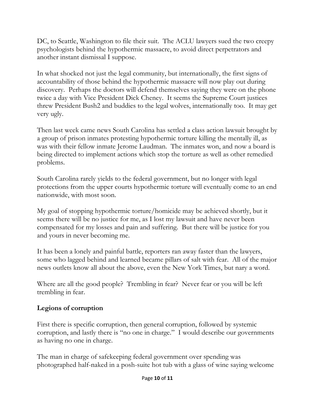DC, to Seattle, Washington to file their suit. The ACLU lawyers sued the two creepy psychologists behind the hypothermic massacre, to avoid direct perpetrators and another instant dismissal I suppose.

In what shocked not just the legal community, but internationally, the first signs of accountability of those behind the hypothermic massacre will now play out during discovery. Perhaps the doctors will defend themselves saying they were on the phone twice a day with Vice President Dick Cheney. It seems the Supreme Court justices threw President Bush2 and buddies to the legal wolves, internationally too. It may get very ugly.

Then last week came news South Carolina has settled a class action lawsuit brought by a group of prison inmates protesting hypothermic torture killing the mentally ill, as was with their fellow inmate Jerome Laudman. The inmates won, and now a board is being directed to implement actions which stop the torture as well as other remedied problems.

South Carolina rarely yields to the federal government, but no longer with legal protections from the upper courts hypothermic torture will eventually come to an end nationwide, with most soon.

My goal of stopping hypothermic torture/homicide may be achieved shortly, but it seems there will be no justice for me, as I lost my lawsuit and have never been compensated for my losses and pain and suffering. But there will be justice for you and yours in never becoming me.

It has been a lonely and painful battle, reporters ran away faster than the lawyers, some who lagged behind and learned became pillars of salt with fear. All of the major news outlets know all about the above, even the New York Times, but nary a word.

Where are all the good people? Trembling in fear? Never fear or you will be left trembling in fear.

#### **Legions of corruption**

First there is specific corruption, then general corruption, followed by systemic corruption, and lastly there is "no one in charge." I would describe our governments as having no one in charge.

The man in charge of safekeeping federal government over spending was photographed half-naked in a posh-suite hot tub with a glass of wine saying welcome